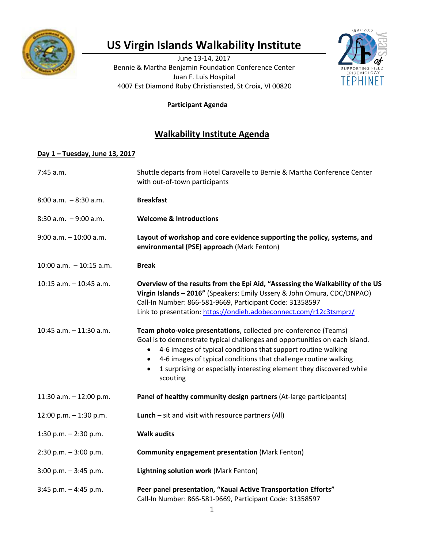

# **US Virgin Islands Walkability Institute**

June 13-14, 2017 Bennie & Martha Benjamin Foundation Conference Center Juan F. Luis Hospital 4007 Est Diamond Ruby Christiansted, St Croix, VI 00820



#### **Participant Agenda**

## **Walkability Institute Agenda**

### **Day 1 – Tuesday, June 13, 2017**

| 7:45 a.m.                  | Shuttle departs from Hotel Caravelle to Bernie & Martha Conference Center<br>with out-of-town participants                                                                                                                                                                                                                                                                                                     |
|----------------------------|----------------------------------------------------------------------------------------------------------------------------------------------------------------------------------------------------------------------------------------------------------------------------------------------------------------------------------------------------------------------------------------------------------------|
| $8:00$ a.m. $-8:30$ a.m.   | <b>Breakfast</b>                                                                                                                                                                                                                                                                                                                                                                                               |
| $8:30$ a.m. $-9:00$ a.m.   | <b>Welcome &amp; Introductions</b>                                                                                                                                                                                                                                                                                                                                                                             |
| $9:00$ a.m. $-10:00$ a.m.  | Layout of workshop and core evidence supporting the policy, systems, and<br>environmental (PSE) approach (Mark Fenton)                                                                                                                                                                                                                                                                                         |
| $10:00$ a.m. $-10:15$ a.m. | <b>Break</b>                                                                                                                                                                                                                                                                                                                                                                                                   |
| 10:15 a.m. - 10:45 a.m.    | Overview of the results from the Epi Aid, "Assessing the Walkability of the US<br>Virgin Islands - 2016" (Speakers: Emily Ussery & John Omura, CDC/DNPAO)<br>Call-In Number: 866-581-9669, Participant Code: 31358597<br>Link to presentation: https://ondieh.adobeconnect.com/r12c3tsmprz/                                                                                                                    |
| 10:45 $a.m. - 11:30 a.m.$  | Team photo-voice presentations, collected pre-conference (Teams)<br>Goal is to demonstrate typical challenges and opportunities on each island.<br>4-6 images of typical conditions that support routine walking<br>$\bullet$<br>4-6 images of typical conditions that challenge routine walking<br>$\bullet$<br>1 surprising or especially interesting element they discovered while<br>$\bullet$<br>scouting |
| 11:30 a.m. $-$ 12:00 p.m.  | Panel of healthy community design partners (At-large participants)                                                                                                                                                                                                                                                                                                                                             |
| 12:00 p.m. $-$ 1:30 p.m.   | <b>Lunch</b> $-$ sit and visit with resource partners (All)                                                                                                                                                                                                                                                                                                                                                    |
| 1:30 p.m. $- 2:30$ p.m.    | <b>Walk audits</b>                                                                                                                                                                                                                                                                                                                                                                                             |
| $2:30$ p.m. $-3:00$ p.m.   | <b>Community engagement presentation (Mark Fenton)</b>                                                                                                                                                                                                                                                                                                                                                         |
| $3:00$ p.m. $-3:45$ p.m.   | Lightning solution work (Mark Fenton)                                                                                                                                                                                                                                                                                                                                                                          |
| $3:45$ p.m. $-4:45$ p.m.   | Peer panel presentation, "Kauai Active Transportation Efforts"<br>Call-In Number: 866-581-9669, Participant Code: 31358597                                                                                                                                                                                                                                                                                     |